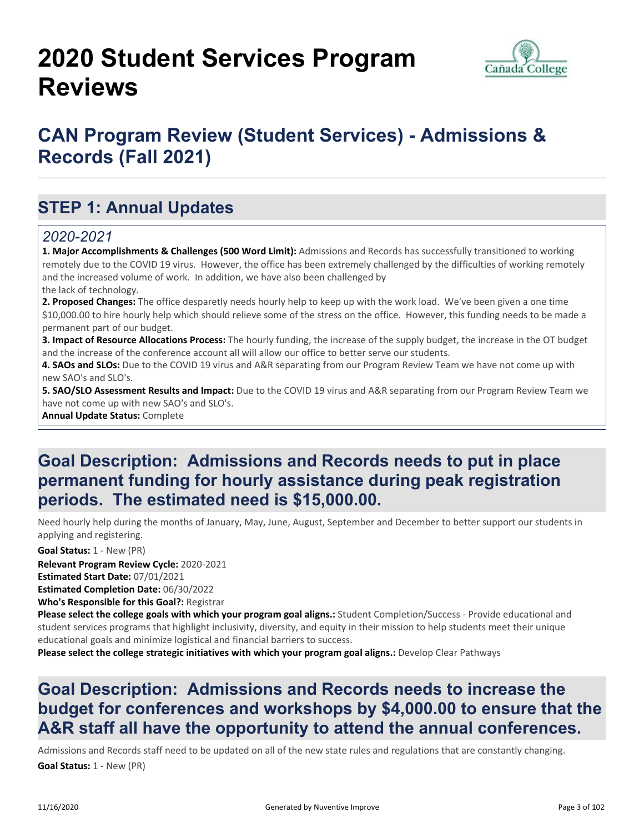# **2020 Student Services Program Reviews**



### **CAN Program Review (Student Services) - Admissions & Records (Fall 2021)**

### **STEP 1: Annual Updates**

#### *2020-2021*

**1. Major Accomplishments & Challenges (500 Word Limit):** Admissions and Records has successfully transitioned to working remotely due to the COVID 19 virus. However, the office has been extremely challenged by the difficulties of working remotely and the increased volume of work. In addition, we have also been challenged by the lack of technology.

**2. Proposed Changes:** The office desparetly needs hourly help to keep up with the work load. We've been given a one time \$10,000.00 to hire hourly help which should relieve some of the stress on the office. However, this funding needs to be made a permanent part of our budget.

**3. Impact of Resource Allocations Process:** The hourly funding, the increase of the supply budget, the increase in the OT budget and the increase of the conference account all will allow our office to better serve our students.

**4. SAOs and SLOs:** Due to the COVID 19 virus and A&R separating from our Program Review Team we have not come up with new SAO's and SLO's.

**5. SAO/SLO Assessment Results and Impact:** Due to the COVID 19 virus and A&R separating from our Program Review Team we have not come up with new SAO's and SLO's.

**Annual Update Status:** Complete

#### **Goal Description: Admissions and Records needs to put in place permanent funding for hourly assistance during peak registration periods. The estimated need is \$15,000.00.**

Need hourly help during the months of January, May, June, August, September and December to better support our students in applying and registering.

**Goal Status:** 1 - New (PR)

**Relevant Program Review Cycle:** 2020-2021

**Estimated Start Date:** 07/01/2021

**Estimated Completion Date:** 06/30/2022

**Who's Responsible for this Goal?:** Registrar

**Please select the college goals with which your program goal aligns.:** Student Completion/Success - Provide educational and student services programs that highlight inclusivity, diversity, and equity in their mission to help students meet their unique educational goals and minimize logistical and financial barriers to success.

**Please select the college strategic initiatives with which your program goal aligns.:** Develop Clear Pathways

### **Goal Description: Admissions and Records needs to increase the budget for conferences and workshops by \$4,000.00 to ensure that the A&R staff all have the opportunity to attend the annual conferences.**

Admissions and Records staff need to be updated on all of the new state rules and regulations that are constantly changing. **Goal Status:** 1 - New (PR)